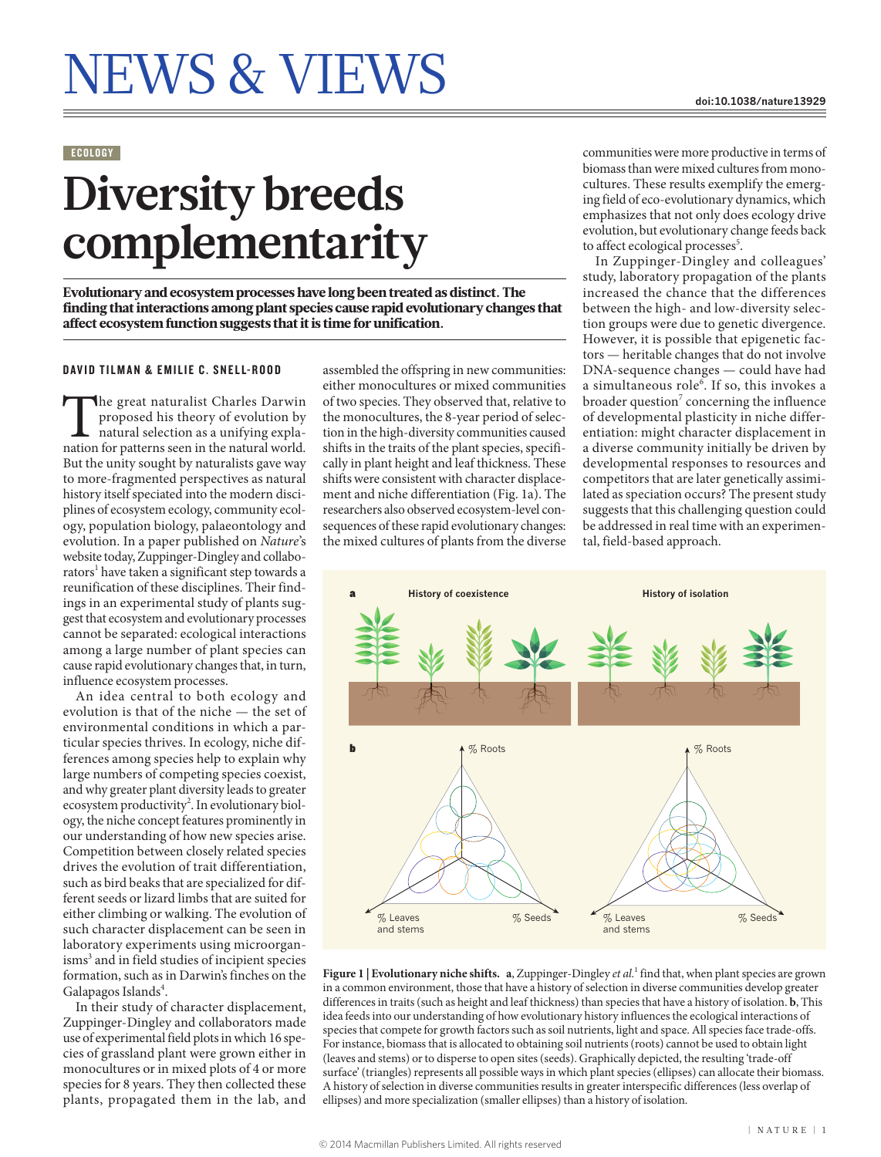## ECOLOGY

## **Diversity breeds complementarity**

Evolutionary and ecosystem processes have long been treated as distinct. The finding that interactions among plant species cause rapid evolutionary changes that affect ecosystem function suggests that it is time for unification.

## DAVID TILMAN & EMILIE C. SNELL-ROOD

The great naturalist Charles Darwin<br>proposed his theory of evolution by<br>natural selection as a unifying expla-<br>nation for patterns seen in the natural world. proposed his theory of evolution by natural selection as a unifying expla-But the unity sought by naturalists gave way to more-fragmented perspectives as natural history itself speciated into the modern disciplines of ecosystem ecology, community ecology, population biology, palaeontology and evolution. In a paper published on *Nature*'s website today, Zuppinger-Dingley and collaborators<sup>1</sup> have taken a significant step towards a reunification of these disciplines. Their findings in an experimental study of plants suggest that ecosystem and evolutionary processes cannot be separated: ecological interactions among a large number of plant species can cause rapid evolutionary changes that, in turn, influence ecosystem processes.

An idea central to both ecology and evolution is that of the niche — the set of environmental conditions in which a particular species thrives. In ecology, niche differences among species help to explain why large numbers of competing species coexist, and why greater plant diversity leads to greater ecosystem productivity<sup>2</sup>. In evolutionary biology, the niche concept features prominently in our understanding of how new species arise. Competition between closely related species drives the evolution of trait differentiation, such as bird beaks that are specialized for different seeds or lizard limbs that are suited for either climbing or walking. The evolution of such character displacement can be seen in laboratory experiments using microorganisms<sup>3</sup> and in field studies of incipient species formation, such as in Darwin's finches on the Galapagos Islands<sup>4</sup>.

In their study of character displacement, Zuppinger-Dingley and collaborators made use of experimental field plots in which 16 species of grassland plant were grown either in monocultures or in mixed plots of 4 or more species for 8 years. They then collected these plants, propagated them in the lab, and assembled the offspring in new communities: either monocultures or mixed communities of two species. They observed that, relative to the monocultures, the 8-year period of selection in the high-diversity communities caused shifts in the traits of the plant species, specifically in plant height and leaf thickness. These shifts were consistent with character displacement and niche differentiation (Fig. 1a). The researchers also observed ecosystem-level consequences of these rapid evolutionary changes: the mixed cultures of plants from the diverse

communities were more productive in terms of biomass than were mixed cultures from monocultures. These results exemplify the emerging field of eco-evolutionary dynamics, which emphasizes that not only does ecology drive evolution, but evolutionary change feeds back to affect ecological processes<sup>5</sup>.

In Zuppinger-Dingley and colleagues' study, laboratory propagation of the plants increased the chance that the differences between the high- and low-diversity selection groups were due to genetic divergence. However, it is possible that epigenetic factors — heritable changes that do not involve DNA-sequence changes — could have had a simultaneous role<sup>6</sup>. If so, this invokes a broader question<sup>7</sup> concerning the influence of developmental plasticity in niche differentiation: might character displacement in a diverse community initially be driven by developmental responses to resources and competitors that are later genetically assimilated as speciation occurs? The present study suggests that this challenging question could be addressed in real time with an experimental, field-based approach.



Figure 1 | Evolutionary niche shifts. a, Zuppinger-Dingley *et al.*<sup>1</sup> find that, when plant species are grown in a common environment, those that have a history of selection in diverse communities develop greater differences in traits (such as height and leaf thickness) than species that have a history of isolation. **b**, This idea feeds into our understanding of how evolutionary history influences the ecological interactions of species that compete for growth factors such as soil nutrients, light and space. All species face trade-offs. For instance, biomass that is allocated to obtaining soil nutrients (roots) cannot be used to obtain light (leaves and stems) or to disperse to open sites (seeds). Graphically depicted, the resulting 'trade-off surface' (triangles) represents all possible ways in which plant species (ellipses) can allocate their biomass. A history of selection in diverse communities results in greater interspecific differences (less overlap of ellipses) and more specialization (smaller ellipses) than a history of isolation.